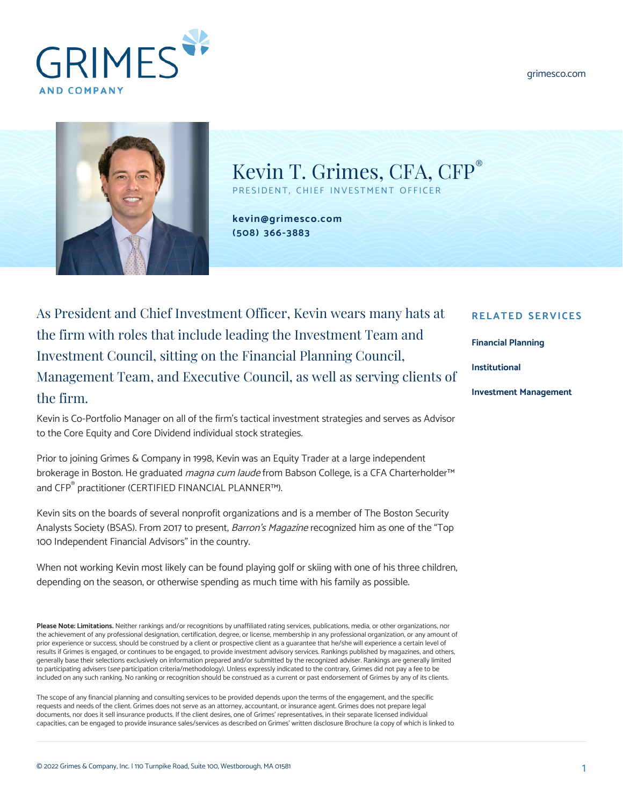[grimesco.com](https://www.grimesco.com)





Kevin T. Grimes, CFA, CFP® PRESIDENT, CHIEF INVESTMENT OFFICER

**[kevin@grimesco.com](mailto:kevin@grimesco.com) [\(508\) 366-3883](#page--1-0)**

As President and Chief Investment Officer, Kevin wears many hats at the firm with roles that include leading the Investment Team and Investment Council, sitting on the Financial Planning Council, Management Team, and Executive Council, as well as serving clients of the firm.

Kevin is Co-Portfolio Manager on all of the firm's tactical investment strategies and serves as Advisor to the Core Equity and Core Dividend individual stock strategies.

Prior to joining Grimes & Company in 1998, Kevin was an Equity Trader at a large independent brokerage in Boston. He graduated *magna cum laude* from Babson College, is a CFA Charterholder™ and CFP® practitioner (CERTIFIED FINANCIAL PLANNER™).

Kevin sits on the boards of several nonprofit organizations and is a member of The Boston Security Analysts Society (BSAS). From 2017 to present, *Barron's Magazine* recognized him as one of the "Top 100 Independent Financial Advisors" in the country.

When not working Kevin most likely can be found playing golf or skiing with one of his three children, depending on the season, or otherwise spending as much time with his family as possible.

**Please Note: Limitations.** Neither rankings and/or recognitions by unaffiliated rating services, publications, media, or other organizations, nor the achievement of any professional designation, certification, degree, or license, membership in any professional organization, or any amount of prior experience or success, should be construed by a client or prospective client as a guarantee that he/she will experience a certain level of results if Grimes is engaged, or continues to be engaged, to provide investment advisory services. Rankings published by magazines, and others, generally base their selections exclusively on information prepared and/or submitted by the recognized adviser. Rankings are generally limited to participating advisers (see participation criteria/methodology). Unless expressly indicated to the contrary, Grimes did not pay a fee to be included on any such ranking. No ranking or recognition should be construed as a current or past endorsement of Grimes by any of its clients.

The scope of any financial planning and consulting services to be provided depends upon the terms of the engagement, and the specific requests and needs of the client. Grimes does not serve as an attorney, accountant, or insurance agent. Grimes does not prepare legal documents, nor does it sell insurance products. If the client desires, one of Grimes' representatives, in their separate licensed individual capacities, can be engaged to provide insurance sales/services as described on Grimes' written disclosure Brochure (a copy of which is linked to

## **RELATED SERVICES**

**[Financial Planning](https://www.grimesco.com/service/financial-planning/)**

**[Institutional](https://www.grimesco.com/service/institutional/)**

**[Investment Management](https://www.grimesco.com/service/investment-management/)**